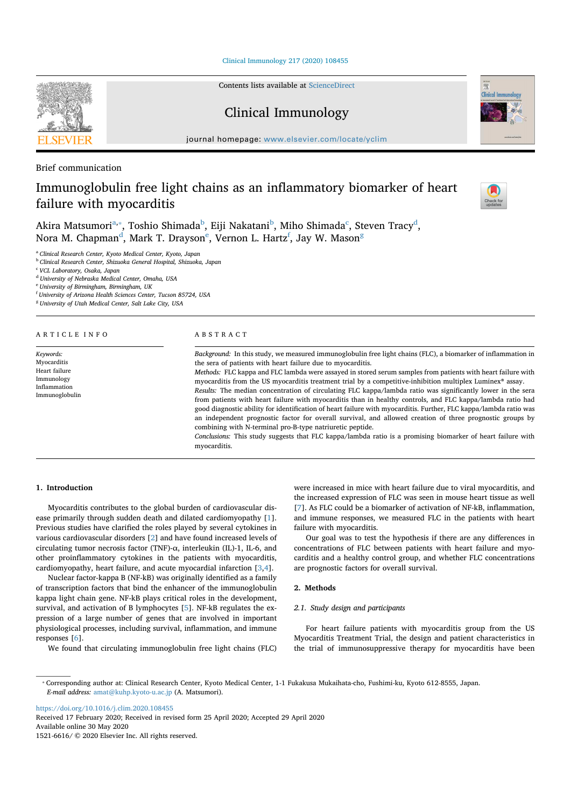Clinical Immunology 217 (2020) 108455

Contents lists available at ScienceDirect

# Clinical Immunology

journal homepage: www.elsevier.com/locate/yclim

Brief communication

# Immunoglobulin free light chains as an inflammatory biomarker of heart failure with myocarditis



Clinical Immunology

Akira Matsumori $^{\mathrm{a},*}$ , Toshio Shimada $^{\mathrm{b}}$ , Eiji Nakatani $^{\mathrm{b}}$ , Miho Shimada $^{\mathrm{c}}$ , Steven Tracy $^{\mathrm{d}}$ , Nora M. Chapman<sup>d</sup>, Mark T. Drayson<sup>e</sup>, Vernon L. Hartz<sup>f</sup>, Jay W. Mason<sup>g</sup>

<sup>a</sup> *Clinical Research Center, Kyoto Medical Center, Kyoto, Japan*

<sup>b</sup> *Clinical Research Center, Shizuoka General Hospital, Shizuoka, Japan*

<sup>c</sup> *VCL Laboratory, Osaka, Japan*

<sup>d</sup> *University of Nebraska Medical Center, Omaha, USA*

<sup>e</sup> *University of Birmingham, Birmingham, UK*

f *University of Arizona Health Sciences Center, Tucson 85724, USA*

<sup>g</sup> *University of Utah Medical Center, Salt Lake City, USA*

#### ARTICLE INFO *Keywords:* Myocarditis Heart failure Immunology Inflammation Immunoglobulin ABSTRACT *Background:* In this study, we measured immunoglobulin free light chains (FLC), a biomarker of inflammation in the sera of patients with heart failure due to myocarditis. *Methods:* FLC kappa and FLC lambda were assayed in stored serum samples from patients with heart failure with myocarditis from the US myocarditis treatment trial by a competitive-inhibition multiplex Luminex® assay. *Results:* The median concentration of circulating FLC kappa/lambda ratio was significantly lower in the sera from patients with heart failure with myocarditis than in healthy controls, and FLC kappa/lambda ratio had good diagnostic ability for identification of heart failure with myocarditis. Further, FLC kappa/lambda ratio was an independent prognostic factor for overall survival, and allowed creation of three prognostic groups by combining with N-terminal pro-B-type natriuretic peptide. *Conclusions:* This study suggests that FLC kappa/lambda ratio is a promising biomarker of heart failure with myocarditis.

# **1. Introduction**

Myocarditis contributes to the global burden of cardiovascular disease primarily through sudden death and dilated cardiomyopathy [1]. Previous studies have clarified the roles played by several cytokines in various cardiovascular disorders [2] and have found increased levels of circulating tumor necrosis factor (TNF)-α, interleukin (IL)-1, IL-6, and other proinflammatory cytokines in the patients with myocarditis, cardiomyopathy, heart failure, and acute myocardial infarction [3,4].

Nuclear factor-kappa B (NF-kB) was originally identified as a family of transcription factors that bind the enhancer of the immunoglobulin kappa light chain gene. NF-kB plays critical roles in the development, survival, and activation of B lymphocytes [5]. NF-kB regulates the expression of a large number of genes that are involved in important physiological processes, including survival, inflammation, and immune responses [6].

We found that circulating immunoglobulin free light chains (FLC)

were increased in mice with heart failure due to viral myocarditis, and the increased expression of FLC was seen in mouse heart tissue as well [7]. As FLC could be a biomarker of activation of NF-kB, inflammation, and immune responses, we measured FLC in the patients with heart failure with myocarditis.

Our goal was to test the hypothesis if there are any differences in concentrations of FLC between patients with heart failure and myocarditis and a healthy control group, and whether FLC concentrations are prognostic factors for overall survival.

#### **2. Methods**

#### *2.1. Study design and participants*

For heart failure patients with myocarditis group from the US Myocarditis Treatment Trial, the design and patient characteristics in the trial of immunosuppressive therapy for myocarditis have been

https://doi.org/10.1016/j.clim.2020.108455

Received 17 February 2020; Received in revised form 25 April 2020; Accepted 29 April 2020

Available online 30 May 2020

1521-6616/  $@$  2020 Elsevier Inc. All rights reserved.



<sup>⁎</sup> Corresponding author at: Clinical Research Center, Kyoto Medical Center, 1-1 Fukakusa Mukaihata-cho, Fushimi-ku, Kyoto 612-8555, Japan. *E-mail address:* amat@kuhp.kyoto-u.ac.jp (A. Matsumori).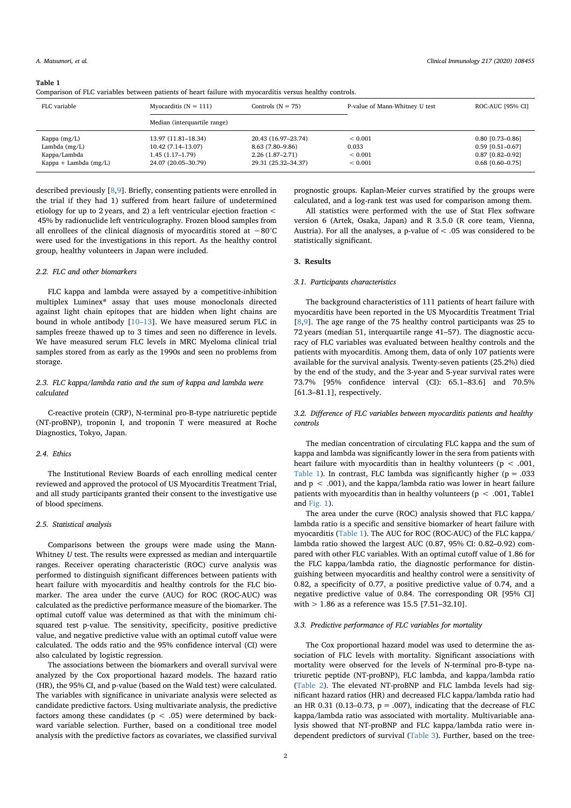#### **Table 1**

Comparison of FLC variables between patients of heart failure with myocarditis versus healthy controls.

| FLC variable                                                                 | Controls $(N = 75)$<br>Myocarditis $(N = 111)$                                        |                                                                                     | P-value of Mann-Whitney U test                     | ROC-AUC [95% CI]                                                                       |  |
|------------------------------------------------------------------------------|---------------------------------------------------------------------------------------|-------------------------------------------------------------------------------------|----------------------------------------------------|----------------------------------------------------------------------------------------|--|
|                                                                              | Median (interquartile range)                                                          |                                                                                     |                                                    |                                                                                        |  |
| Kappa $(mg/L)$<br>Lambda $(mg/L)$<br>Kappa/Lambda<br>Kappa + Lambda $(mg/L)$ | 13.97 (11.81-18.34)<br>10.42 (7.14-13.07)<br>$1.45(1.17-1.79)$<br>24.07 (20.05-30.79) | 20.43 (16.97-23.74)<br>8.63 (7.80–9.86)<br>$2.26(1.87-2.71)$<br>29.31 (25.32-34.37) | ${}< 0.001$<br>0.033<br>${}< 0.001$<br>${}< 0.001$ | $0.80$ [0.73-0.86]<br>$0.59$ $[0.51 - 0.67]$<br>0.87 [0.82-0.92]<br>$0.68$ [0.60-0.75] |  |

described previously [8,9]. Briefly, consenting patients were enrolled in the trial if they had 1) suffered from heart failure of undetermined etiology for up to 2 years, and 2) a left ventricular ejection fraction < 45% by radionuclide left ventriculography. Frozen blood samples from all enrollees of the clinical diagnosis of myocarditis stored at −80°C were used for the investigations in this report. As the healthy control group, healthy volunteers in Japan were included.

#### *2.2. FLC and other biomarkers*

FLC kappa and lambda were assayed by a competitive-inhibition multiplex Luminex® assay that uses mouse monoclonals directed against light chain epitopes that are hidden when light chains are bound in whole antibody [10–13]. We have measured serum FLC in samples freeze thawed up to 3 times and seen no difference in levels. We have measured serum FLC levels in MRC Myeloma clinical trial samples stored from as early as the 1990s and seen no problems from storage.

## *2.3. FLC kappa/lambda ratio and the sum of kappa and lambda were calculated*

C-reactive protein (CRP), N-terminal pro-B-type natriuretic peptide (NT-proBNP), troponin I, and troponin T were measured at Roche Diagnostics, Tokyo, Japan.

#### *2.4. Ethics*

The Institutional Review Boards of each enrolling medical center reviewed and approved the protocol of US Myocarditis Treatment Trial, and all study participants granted their consent to the investigative use of blood specimens.

#### *2.5. Statistical analysis*

Comparisons between the groups were made using the Mann-Whitney *U* test. The results were expressed as median and interquartile ranges. Receiver operating characteristic (ROC) curve analysis was performed to distinguish significant differences between patients with heart failure with myocarditis and healthy controls for the FLC biomarker. The area under the curve (AUC) for ROC (ROC-AUC) was calculated as the predictive performance measure of the biomarker. The optimal cutoff value was determined as that with the minimum chisquared test p-value. The sensitivity, specificity, positive predictive value, and negative predictive value with an optimal cutoff value were calculated. The odds ratio and the 95% confidence interval (CI) were also calculated by logistic regression.

The associations between the biomarkers and overall survival were analyzed by the Cox proportional hazard models. The hazard ratio (HR), the 95% CI, and p-value (based on the Wald test) were calculated. The variables with significance in univariate analysis were selected as candidate predictive factors. Using multivariate analysis, the predictive factors among these candidates ( $p < .05$ ) were determined by backward variable selection. Further, based on a conditional tree model analysis with the predictive factors as covariates, we classified survival prognostic groups. Kaplan-Meier curves stratified by the groups were calculated, and a log-rank test was used for comparison among them.

All statistics were performed with the use of Stat Flex software version 6 (Artek, Osaka, Japan) and R 3.5.0 (R core team, Vienna, Austria). For all the analyses, a p-value of  $<$  .05 was considered to be statistically significant.

# **3. Results**

#### *3.1. Participants characteristics*

The background characteristics of 111 patients of heart failure with myocarditis have been reported in the US Myocarditis Treatment Trial [8,9]. The age range of the 75 healthy control participants was 25 to 72 years (median 51, interquartile range 41–57). The diagnostic accuracy of FLC variables was evaluated between healthy controls and the patients with myocarditis. Among them, data of only 107 patients were available for the survival analysis. Twenty-seven patients (25.2%) died by the end of the study, and the 3-year and 5-year survival rates were 73.7% [95% confidence interval (CI): 65.1–83.6] and 70.5% [61.3–81.1], respectively.

### *3.2. Difference of FLC variables between myocarditis patients and healthy controls*

The median concentration of circulating FLC kappa and the sum of kappa and lambda was significantly lower in the sera from patients with heart failure with myocarditis than in healthy volunteers ( $p < .001$ , Table 1). In contrast, FLC lambda was significantly higher ( $p = .033$ ) and  $p < .001$ ), and the kappa/lambda ratio was lower in heart failure patients with myocarditis than in healthy volunteers ( $p < .001$ , Table1 and Fig. 1).

The area under the curve (ROC) analysis showed that FLC kappa/ lambda ratio is a specific and sensitive biomarker of heart failure with myocarditis (Table 1). The AUC for ROC (ROC-AUC) of the FLC kappa/ lambda ratio showed the largest AUC (0.87, 95% CI: 0.82–0.92) compared with other FLC variables. With an optimal cutoff value of 1.86 for the FLC kappa/lambda ratio, the diagnostic performance for distinguishing between myocarditis and healthy control were a sensitivity of 0.82, a specificity of 0.77, a positive predictive value of 0.74, and a negative predictive value of 0.84. The corresponding OR [95% CI] with > 1.86 as a reference was 15.5 [7.51–32.10].

#### *3.3. Predictive performance of FLC variables for mortality*

The Cox proportional hazard model was used to determine the association of FLC levels with mortality. Significant associations with mortality were observed for the levels of N-terminal pro-B-type natriuretic peptide (NT-proBNP), FLC lambda, and kappa/lambda ratio (Table 2). The elevated NT-proBNP and FLC lambda levels had significant hazard ratios (HR) and decreased FLC kappa/lambda ratio had an HR 0.31 (0.13-0.73,  $p = .007$ ), indicating that the decrease of FLC kappa/lambda ratio was associated with mortality. Multivariable analysis showed that NT-proBNP and FLC kappa/lambda ratio were independent predictors of survival (Table 3). Further, based on the tree-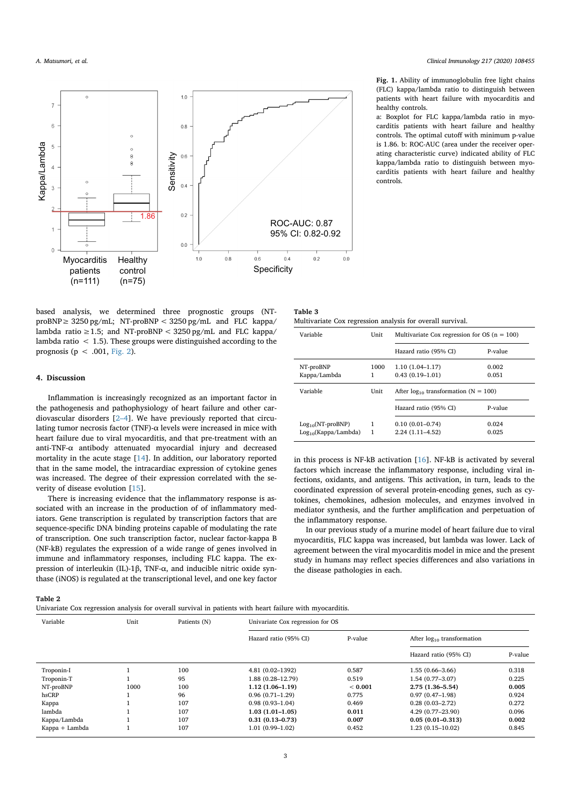

based analysis, we determined three prognostic groups (NT- $\text{proBNP} \geq 3250 \text{ pg/mL}$ ; NT-proBNP < 3250 pg/mL and FLC kappa/ lambda ratio ≥1.5; and NT-proBNP <  $3250 \text{ pg/mL}$  and FLC kappa/ lambda ratio  $\langle 1.5 \rangle$ . These groups were distinguished according to the prognosis ( $p < .001$ , Fig. 2).

### **4. Discussion**

Inflammation is increasingly recognized as an important factor in the pathogenesis and pathophysiology of heart failure and other cardiovascular disorders [2–4]. We have previously reported that circulating tumor necrosis factor (TNF)- $\alpha$  levels were increased in mice with heart failure due to viral myocarditis, and that pre-treatment with an anti-TNF- $\alpha$  antibody attenuated myocardial injury and decreased mortality in the acute stage [14]. In addition, our laboratory reported that in the same model, the intracardiac expression of cytokine genes was increased. The degree of their expression correlated with the severity of disease evolution [15].

There is increasing evidence that the inflammatory response is associated with an increase in the production of of inflammatory mediators. Gene transcription is regulated by transcription factors that are sequence-specific DNA binding proteins capable of modulating the rate of transcription. One such transcription factor, nuclear factor-kappa B (NF-kB) regulates the expression of a wide range of genes involved in immune and inflammatory responses, including FLC kappa. The expression of interleukin (IL)-1β, TNF-α, and inducible nitric oxide synthase (iNOS) is regulated at the transcriptional level, and one key factor

# **Table 2**

Univariate Cox regression analysis for overall survival in patients with heart failure with myocarditis.

#### **Fig. 1.** Ability of immunoglobulin free light chains (FLC) kappa/lambda ratio to distinguish between patients with heart failure with myocarditis and healthy controls.

a: Boxplot for FLC kappa/lambda ratio in myocarditis patients with heart failure and healthy controls. The optimal cutoff with minimum p-value is 1.86. b: ROC-AUC (area under the receiver operating characteristic curve) indicated ability of FLC kappa/lambda ratio to distinguish between myocarditis patients with heart failure and healthy controls.

| Table 3 |                                                            |  |  |
|---------|------------------------------------------------------------|--|--|
|         | Multivariate Cox regression analysis for overall survival. |  |  |

| Variable                  | Unit      | Multivariate Cox regression for OS $(n = 100)$ |                |
|---------------------------|-----------|------------------------------------------------|----------------|
|                           |           | Hazard ratio (95% CI)                          | P-value        |
| NT-proBNP<br>Kappa/Lambda | 1000<br>1 | $1.10(1.04-1.17)$<br>$0.43(0.19 - 1.01)$       | 0.002<br>0.051 |
|                           |           | After $log_{10}$ transformation (N = 100)      |                |
| Variable                  | Unit      |                                                |                |
|                           |           | Hazard ratio (95% CI)                          | P-value        |

in this process is NF-kB activation [16]. NF-kB is activated by several factors which increase the inflammatory response, including viral infections, oxidants, and antigens. This activation, in turn, leads to the coordinated expression of several protein-encoding genes, such as cytokines, chemokines, adhesion molecules, and enzymes involved in mediator synthesis, and the further amplification and perpetuation of the inflammatory response.

In our previous study of a murine model of heart failure due to viral myocarditis, FLC kappa was increased, but lambda was lower. Lack of agreement between the viral myocarditis model in mice and the present study in humans may reflect species differences and also variations in the disease pathologies in each.

| Variable       | Unit | Patients (N) |                                                                     | Univariate Cox regression for OS |                       |         |  |
|----------------|------|--------------|---------------------------------------------------------------------|----------------------------------|-----------------------|---------|--|
|                |      |              | P-value<br>Hazard ratio (95% CI)<br>After $log_{10}$ transformation |                                  |                       |         |  |
|                |      |              |                                                                     |                                  | Hazard ratio (95% CI) | P-value |  |
| Troponin-I     |      | 100          | $4.81(0.02 - 1392)$                                                 | 0.587                            | $1.55(0.66 - 3.66)$   | 0.318   |  |
| Troponin-T     |      | 95           | 1.88 (0.28-12.79)                                                   | 0.519                            | $1.54(0.77-3.07)$     | 0.225   |  |
| NT-proBNP      | 1000 | 100          | $1.12(1.06-1.19)$                                                   | < 0.001                          | $2.75(1.36 - 5.54)$   | 0.005   |  |
| hsCRP          |      | 96           | $0.96(0.71-1.29)$                                                   | 0.775                            | $0.97(0.47-1.98)$     | 0.924   |  |
| Kappa          |      | 107          | $0.98(0.93 - 1.04)$                                                 | 0.469                            | $0.28(0.03 - 2.72)$   | 0.272   |  |
| lambda         |      | 107          | $1.03(1.01-1.05)$                                                   | 0.011                            | 4.29 (0.77-23.90)     | 0.096   |  |
| Kappa/Lambda   |      | 107          | $0.31(0.13 - 0.73)$                                                 | 0.007                            | $0.05(0.01 - 0.313)$  | 0.002   |  |
| Kappa + Lambda |      | 107          | $1.01(0.99 - 1.02)$                                                 | 0.452                            | $1.23(0.15 - 10.02)$  | 0.845   |  |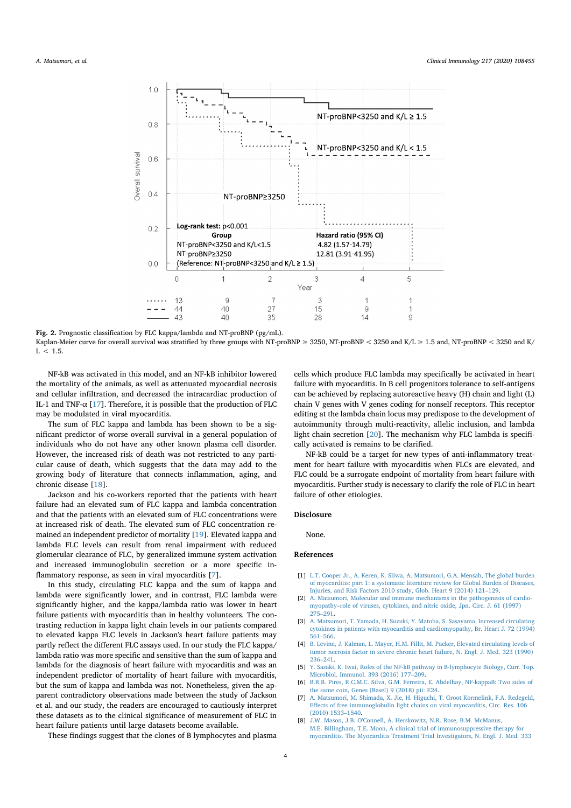

**Fig. 2.** Prognostic classification by FLC kappa/lambda and NT-proBNP (pg/mL).

Kaplan-Meier curve for overall survival was stratified by three groups with NT-proBNP ≥ 3250, NT-proBNP < 3250 and K/L ≥ 1.5 and, NT-proBNP < 3250 and K/  $L < 1.5$ .

NF-kB was activated in this model, and an NF-kB inhibitor lowered the mortality of the animals, as well as attenuated myocardial necrosis and cellular infiltration, and decreased the intracardiac production of IL-1 and TNF- $\alpha$  [17]. Therefore, it is possible that the production of FLC may be modulated in viral myocarditis.

The sum of FLC kappa and lambda has been shown to be a significant predictor of worse overall survival in a general population of individuals who do not have any other known plasma cell disorder. However, the increased risk of death was not restricted to any particular cause of death, which suggests that the data may add to the growing body of literature that connects inflammation, aging, and chronic disease [18].

Jackson and his co-workers reported that the patients with heart failure had an elevated sum of FLC kappa and lambda concentration and that the patients with an elevated sum of FLC concentrations were at increased risk of death. The elevated sum of FLC concentration remained an independent predictor of mortality [19]. Elevated kappa and lambda FLC levels can result from renal impairment with reduced glomerular clearance of FLC, by generalized immune system activation and increased immunoglobulin secretion or a more specific inflammatory response, as seen in viral myocarditis [7].

In this study, circulating FLC kappa and the sum of kappa and lambda were significantly lower, and in contrast, FLC lambda were significantly higher, and the kappa/lambda ratio was lower in heart failure patients with myocarditis than in healthy volunteers. The contrasting reduction in kappa light chain levels in our patients compared to elevated kappa FLC levels in Jackson's heart failure patients may partly reflect the different FLC assays used. In our study the FLC kappa/ lambda ratio was more specific and sensitive than the sum of kappa and lambda for the diagnosis of heart failure with myocarditis and was an independent predictor of mortality of heart failure with myocarditis, but the sum of kappa and lambda was not. Nonetheless, given the apparent contradictory observations made between the study of Jackson et al. and our study, the readers are encouraged to cautiously interpret these datasets as to the clinical significance of measurement of FLC in heart failure patients until large datasets become available.

These findings suggest that the clones of B lymphocytes and plasma

cells which produce FLC lambda may specifically be activated in heart failure with myocarditis. In B cell progenitors tolerance to self-antigens can be achieved by replacing autoreactive heavy (H) chain and light (L) chain V genes with V genes coding for nonself receptors. This receptor editing at the lambda chain locus may predispose to the development of autoimmunity through multi-reactivity, allelic inclusion, and lambda light chain secretion [20]. The mechanism why FLC lambda is specifically activated is remains to be clarified.

NF-kB could be a target for new types of anti-inflammatory treatment for heart failure with myocarditis when FLCs are elevated, and FLC could be a surrogate endpoint of mortality from heart failure with myocarditis. Further study is necessary to clarify the role of FLC in heart failure of other etiologies.

#### **Disclosure**

None.

#### **References**

- [1] L.T. Cooper Jr., A. Keren, K. Sliwa, A. Matsumori, G.A. Mensah, The global burden of myocarditis: part 1: a systematic literature review for Global Burden of Diseases, Injuries, and Risk Factors 2010 study, Glob. Heart 9 (2014) 121–129.
- [2] A. Matsumori, Molecular and immune mechanisms in the pathogenesis of cardiomyopathy–role of viruses, cytokines, and nitric oxide, Jpn. Circ. J. 61 (1997) 275–291.
- [3] A. Matsumori, T. Yamada, H. Suzuki, Y. Matoba, S. Sasayama, Increased circulating cytokines in patients with myocarditis and cardiomyopathy, Br. Heart J. 72 (1994) 561–566.
- [4] B. Levine, J. Kalman, L. Mayer, H.M. Fillit, M. Packer, Elevated circulating levels of tumor necrosis factor in severe chronic heart failure, N. Engl. J. Med. 323 (1990) 236–241.
- [5] Y. Sasaki, K. Iwai, Roles of the NF-kB pathway in B-lymphocyte Biology, Curr. Top. Microbiol. Immunol. 393 (2016) 177–209.
- [6] B.R.B. Pires, R.C.M.C. Silva, G.M. Ferreira, E. Abdelhay, NF-kappaB: Two sides of the same coin, Genes (Basel) 9 (2018) pii: E24.
- [7] A. Matsumori, M. Shimada, X. Jie, H. Higuchi, T. Groot Kormelink, F.A. Redegeld, Effects of free immunoglobulin light chains on viral myocarditis, Circ. Res. 106 (2010) 1533–1540.
- [8] J.W. Mason, J.B. O'Connell, A. Herskowitz, N.R. Rose, B.M. McManus, M.E. Billingham, T.E. Moon, A clinical trial of immunosuppressive therapy for myocarditis. The Myocarditis Treatment Trial Investigators, N. Engl. J. Med. 333